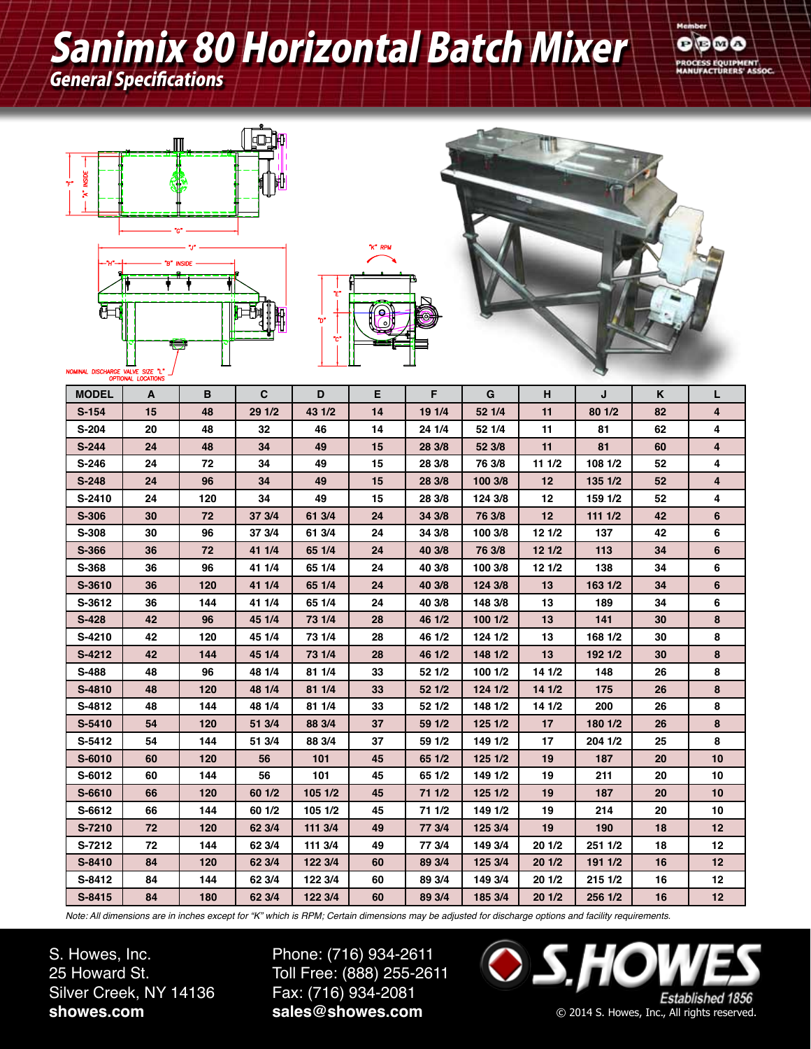## Sanimix 80 Horizontal Batch Mixer

General Specifications









| <b>MODEL</b> | A  | В   | C      | D       | Е  | F      | G       | н               | J       | K  | L  |
|--------------|----|-----|--------|---------|----|--------|---------|-----------------|---------|----|----|
| $S-154$      | 15 | 48  | 29 1/2 | 43 1/2  | 14 | 19 1/4 | 52 1/4  | 11              | 80 1/2  | 82 | 4  |
| S-204        | 20 | 48  | 32     | 46      | 14 | 24 1/4 | 52 1/4  | 11              | 81      | 62 | 4  |
| $S-244$      | 24 | 48  | 34     | 49      | 15 | 28 3/8 | 52 3/8  | 11              | 81      | 60 | 4  |
| $S-246$      | 24 | 72  | 34     | 49      | 15 | 28 3/8 | 76 3/8  | 11 1/2          | 108 1/2 | 52 | 4  |
| $S-248$      | 24 | 96  | 34     | 49      | 15 | 28 3/8 | 100 3/8 | 12              | 135 1/2 | 52 | 4  |
| S-2410       | 24 | 120 | 34     | 49      | 15 | 28 3/8 | 124 3/8 | 12              | 159 1/2 | 52 | 4  |
| S-306        | 30 | 72  | 37 3/4 | 61 3/4  | 24 | 34 3/8 | 76 3/8  | 12 <sup>2</sup> | 1111/2  | 42 | 6  |
| S-308        | 30 | 96  | 37 3/4 | 61 3/4  | 24 | 34 3/8 | 100 3/8 | 12 1/2          | 137     | 42 | 6  |
| S-366        | 36 | 72  | 41 1/4 | 65 1/4  | 24 | 40 3/8 | 76 3/8  | 121/2           | 113     | 34 | 6  |
| S-368        | 36 | 96  | 41 1/4 | 65 1/4  | 24 | 40 3/8 | 100 3/8 | 121/2           | 138     | 34 | 6  |
| S-3610       | 36 | 120 | 41 1/4 | 65 1/4  | 24 | 40 3/8 | 124 3/8 | 13              | 163 1/2 | 34 | 6  |
| S-3612       | 36 | 144 | 41 1/4 | 65 1/4  | 24 | 40 3/8 | 148 3/8 | 13              | 189     | 34 | 6  |
| $S-428$      | 42 | 96  | 45 1/4 | 73 1/4  | 28 | 46 1/2 | 100 1/2 | 13              | 141     | 30 | 8  |
| S-4210       | 42 | 120 | 45 1/4 | 73 1/4  | 28 | 46 1/2 | 124 1/2 | 13              | 168 1/2 | 30 | 8  |
| S-4212       | 42 | 144 | 45 1/4 | 73 1/4  | 28 | 46 1/2 | 148 1/2 | 13              | 192 1/2 | 30 | 8  |
| S-488        | 48 | 96  | 48 1/4 | 81 1/4  | 33 | 52 1/2 | 100 1/2 | 14 1/2          | 148     | 26 | 8  |
| S-4810       | 48 | 120 | 48 1/4 | 81 1/4  | 33 | 52 1/2 | 124 1/2 | 141/2           | 175     | 26 | 8  |
| S-4812       | 48 | 144 | 48 1/4 | 81 1/4  | 33 | 52 1/2 | 148 1/2 | 14 1/2          | 200     | 26 | 8  |
| S-5410       | 54 | 120 | 51 3/4 | 88 3/4  | 37 | 59 1/2 | 125 1/2 | 17              | 180 1/2 | 26 | 8  |
| S-5412       | 54 | 144 | 51 3/4 | 88 3/4  | 37 | 59 1/2 | 149 1/2 | 17              | 204 1/2 | 25 | 8  |
| S-6010       | 60 | 120 | 56     | 101     | 45 | 65 1/2 | 125 1/2 | 19              | 187     | 20 | 10 |
| S-6012       | 60 | 144 | 56     | 101     | 45 | 65 1/2 | 149 1/2 | 19              | 211     | 20 | 10 |
| S-6610       | 66 | 120 | 60 1/2 | 105 1/2 | 45 | 71 1/2 | 125 1/2 | 19              | 187     | 20 | 10 |
| S-6612       | 66 | 144 | 60 1/2 | 105 1/2 | 45 | 71 1/2 | 149 1/2 | 19              | 214     | 20 | 10 |
| S-7210       | 72 | 120 | 62 3/4 | 111 3/4 | 49 | 77 3/4 | 125 3/4 | 19              | 190     | 18 | 12 |
| S-7212       | 72 | 144 | 62 3/4 | 111 3/4 | 49 | 77 3/4 | 149 3/4 | 201/2           | 251 1/2 | 18 | 12 |
| S-8410       | 84 | 120 | 62 3/4 | 122 3/4 | 60 | 89 3/4 | 125 3/4 | 201/2           | 191 1/2 | 16 | 12 |
| S-8412       | 84 | 144 | 62 3/4 | 122 3/4 | 60 | 89 3/4 | 149 3/4 | 201/2           | 215 1/2 | 16 | 12 |
| S-8415       | 84 | 180 | 62 3/4 | 122 3/4 | 60 | 89 3/4 | 185 3/4 | 201/2           | 256 1/2 | 16 | 12 |

*Note: All dimensions are in inches except for "K" which is RPM; Certain dimensions may be adjusted for discharge options and facility requirements.*

S. Howes, Inc. 25 Howard St. Silver Creek, NY 14136 **showes.com**

Phone: (716) 934-2611 Toll Free: (888) 255-2611 Fax: (716) 934-2081 **sales@showes.com**